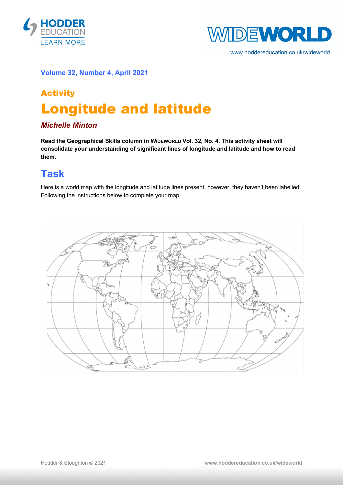



www.hoddereducation.co.uk/wideworld

#### **Volume 32, Number 4, April 2021**

# Activity Longitude and latitude

#### *Michelle Minton*

**Read the Geographical Skills column in WIDEWORLD Vol. 32, No. 4. This activity sheet will consolidate your understanding of significant lines of longitude and latitude and how to read them.**

### **Task**

Here is a world map with the longitude and latitude lines present, however, they haven't been labelled. Following the instructions below to complete your map.

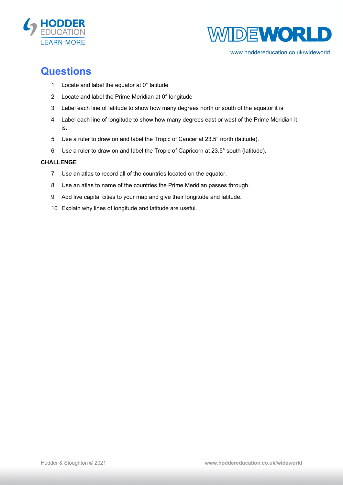



www.hoddereducation.co.uk/wideworld

### **Questions**

- Locate and label the equator at 0° latitude
- Locate and label the Prime Meridian at 0° longitude
- Label each line of latitude to show how many degrees north or south of the equator it is
- Label each line of longitude to show how many degrees east or west of the Prime Meridian it is.
- Use a ruler to draw on and label the Tropic of Cancer at 23.5° north (latitude).
- Use a ruler to draw on and label the Tropic of Capricorn at 23.5° south (latitude).

#### **CHALLENGE**

- Use an atlas to record all of the countries located on the equator.
- Use an atlas to name of the countries the Prime Meridian passes through.
- Add five capital cities to your map and give their longitude and latitude.
- Explain why lines of longitude and latitude are useful.